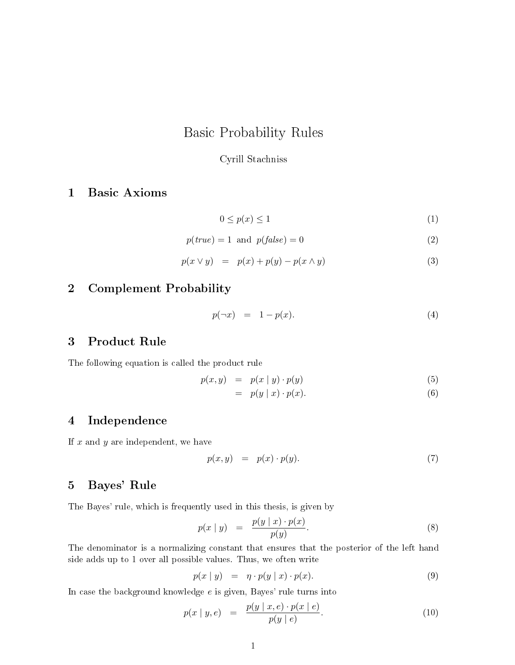# Basic Probability Rules

## Cyrill Stachniss

# 1 Basic Axioms

$$
0 \le p(x) \le 1 \tag{1}
$$

$$
p(true) = 1 \text{ and } p(false) = 0 \tag{2}
$$

$$
p(x \lor y) = p(x) + p(y) - p(x \land y) \tag{3}
$$

# 2 Complement Probability

$$
p(\neg x) = 1 - p(x). \tag{4}
$$

## 3 Product Rule

The following equation is called the product rule

 $p(x, y) = p(x | y) \cdot p(y)$  (5)

$$
= p(y | x) \cdot p(x). \tag{6}
$$

## 4 Independence

If  $x$  and  $y$  are independent, we have

$$
p(x, y) = p(x) \cdot p(y). \tag{7}
$$

## 5 Bayes' Rule

The Bayes' rule, which is frequently used in this thesis, is given by

$$
p(x \mid y) = \frac{p(y \mid x) \cdot p(x)}{p(y)}.
$$
\n
$$
(8)
$$

The denominator is a normalizing constant that ensures that the posterior of the left hand side adds up to 1 over all possible values. Thus, we often write

$$
p(x \mid y) = \eta \cdot p(y \mid x) \cdot p(x). \tag{9}
$$

In case the background knowledge  $e$  is given, Bayes' rule turns into

$$
p(x \mid y, e) = \frac{p(y \mid x, e) \cdot p(x \mid e)}{p(y \mid e)}.
$$
\n
$$
(10)
$$